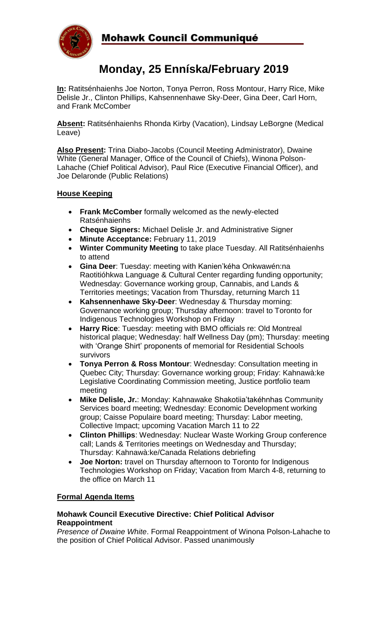

# **Monday, 25 Enníska/February 2019**

**In:** Ratitsénhaienhs Joe Norton, Tonya Perron, Ross Montour, Harry Rice, Mike Delisle Jr., Clinton Phillips, Kahsennenhawe Sky-Deer, Gina Deer, Carl Horn, and Frank McComber

**Absent:** Ratitsénhaienhs Rhonda Kirby (Vacation), Lindsay LeBorgne (Medical Leave)

**Also Present:** Trina Diabo-Jacobs (Council Meeting Administrator), Dwaine White (General Manager, Office of the Council of Chiefs), Winona Polson-Lahache (Chief Political Advisor), Paul Rice (Executive Financial Officer), and Joe Delaronde (Public Relations)

## **House Keeping**

- **Frank McComber** formally welcomed as the newly-elected Ratsénhaienhs
- **Cheque Signers:** Michael Delisle Jr. and Administrative Signer
- **Minute Acceptance:** February 11, 2019
- **Winter Community Meeting** to take place Tuesday. All Ratitsénhaienhs to attend
- **Gina Deer**: Tuesday: meeting with Kanien'kéha Onkwawén:na Raotitióhkwa Language & Cultural Center regarding funding opportunity; Wednesday: Governance working group, Cannabis, and Lands & Territories meetings; Vacation from Thursday, returning March 11
- **Kahsennenhawe Sky-Deer**: Wednesday & Thursday morning: Governance working group; Thursday afternoon: travel to Toronto for Indigenous Technologies Workshop on Friday
- **Harry Rice**: Tuesday: meeting with BMO officials re: Old Montreal historical plaque; Wednesday: half Wellness Day (pm); Thursday: meeting with 'Orange Shirt' proponents of memorial for Residential Schools survivors
- **Tonya Perron & Ross Montour**: Wednesday: Consultation meeting in Quebec City; Thursday: Governance working group; Friday: Kahnawà:ke Legislative Coordinating Commission meeting, Justice portfolio team meeting
- **Mike Delisle, Jr.**: Monday: Kahnawake Shakotiia'takéhnhas Community Services board meeting; Wednesday: Economic Development working group; Caisse Populaire board meeting; Thursday: Labor meeting, Collective Impact; upcoming Vacation March 11 to 22
- **Clinton Phillips**: Wednesday: Nuclear Waste Working Group conference call; Lands & Territories meetings on Wednesday and Thursday; Thursday: Kahnawà:ke/Canada Relations debriefing
- **Joe Norton:** travel on Thursday afternoon to Toronto for Indigenous Technologies Workshop on Friday; Vacation from March 4-8, returning to the office on March 11

# **Formal Agenda Items**

#### **Mohawk Council Executive Directive: Chief Political Advisor Reappointment**

*Presence of Dwaine White*. Formal Reappointment of Winona Polson-Lahache to the position of Chief Political Advisor. Passed unanimously